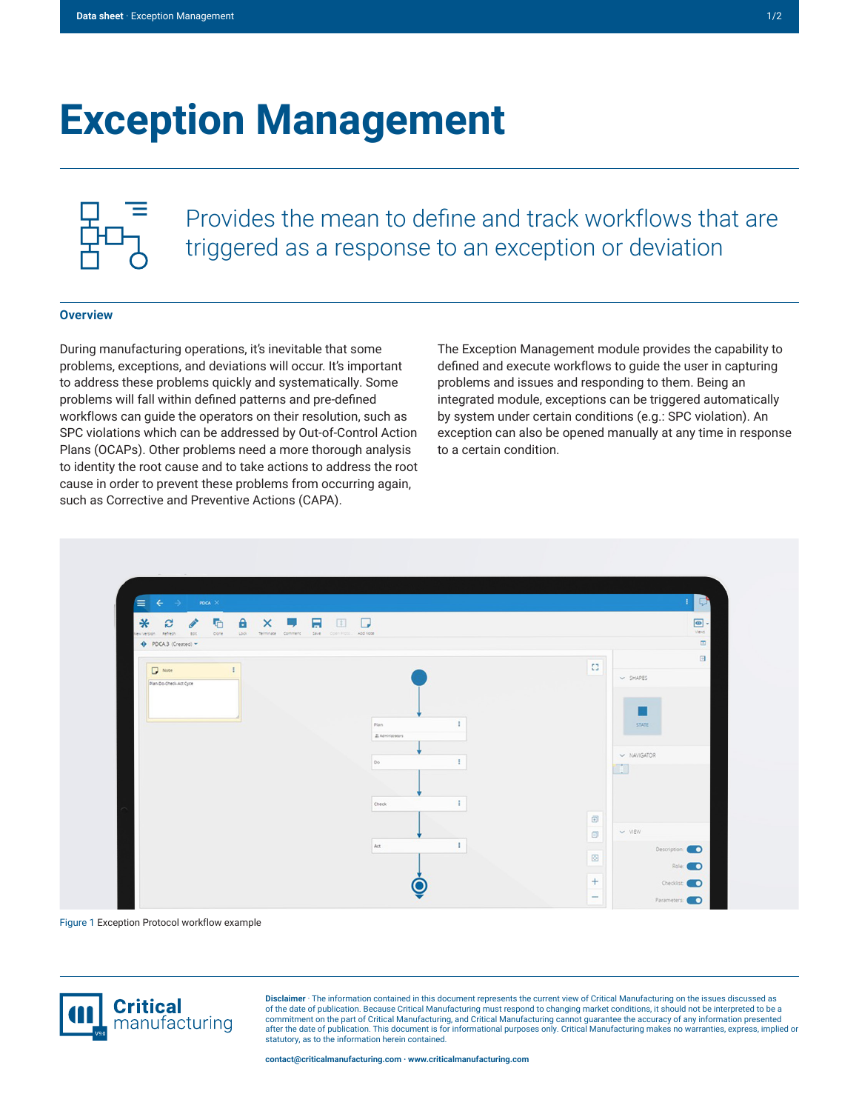## **Exception Management**



Provides the mean to define and track workflows that are triggered as a response to an exception or deviation

## **Overview**

During manufacturing operations, it's inevitable that some problems, exceptions, and deviations will occur. It's important to address these problems quickly and systematically. Some problems will fall within defined patterns and pre-defined workflows can guide the operators on their resolution, such as SPC violations which can be addressed by Out-of-Control Action Plans (OCAPs). Other problems need a more thorough analysis to identity the root cause and to take actions to address the root cause in order to prevent these problems from occurring again, such as Corrective and Preventive Actions (CAPA).

The Exception Management module provides the capability to defined and execute workflows to guide the user in capturing problems and issues and responding to them. Being an integrated module, exceptions can be triggered automatically by system under certain conditions (e.g.: SPC violation). An exception can also be opened manually at any time in response to a certain condition.



Figure 1 Exception Protocol workflow example



**Disclaimer** · The information contained in this document represents the current view of Critical Manufacturing on the issues discussed as of the date of publication. Because Critical Manufacturing must respond to changing market conditions, it should not be interpreted to be a commitment on the part of Critical Manufacturing, and Critical Manufacturing cannot guarantee the accuracy of any information presented after the date of publication. This document is for informational purposes only. Critical Manufacturing makes no warranties, express, implied or statutory, as to the information herein contained.